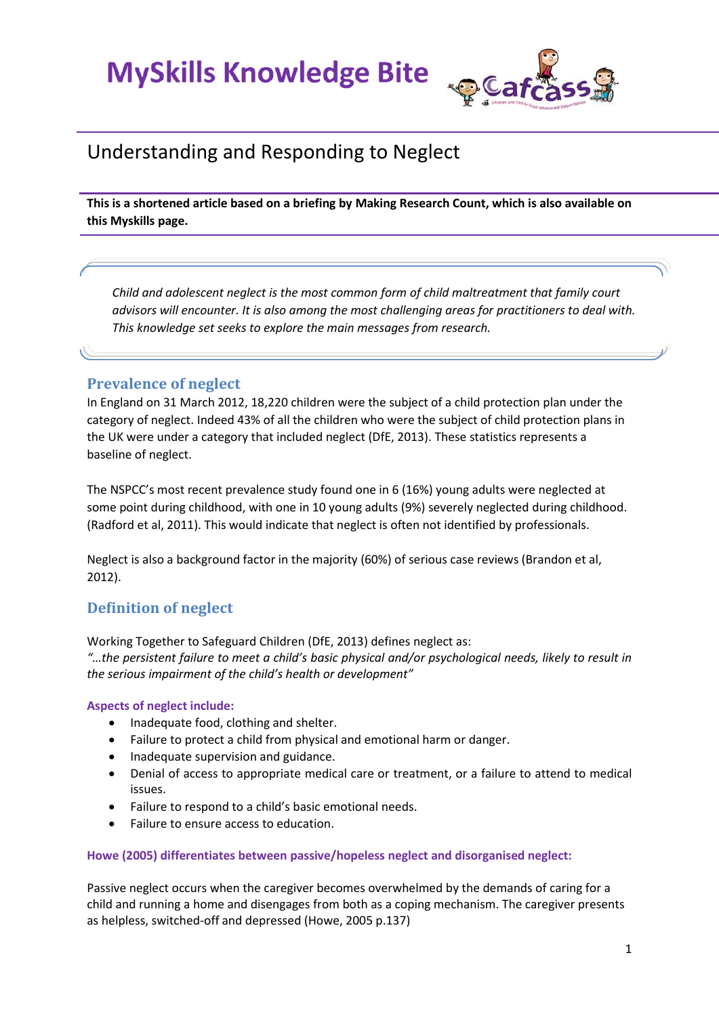

### Understanding and Responding to Neglect

**This is a shortened article based on a briefing by Making Research Count, which is also available on this Myskills page.**

*Child and adolescent neglect is the most common form of child maltreatment that family court advisors will encounter. It is also among the most challenging areas for practitioners to deal with. This knowledge set seeks to explore the main messages from research.* 

#### **Prevalence of neglect**

In England on 31 March 2012, 18,220 children were the subject of a child protection plan under the category of neglect. Indeed 43% of all the children who were the subject of child protection plans in the UK were under a category that included neglect (DfE, 2013). These statistics represents a baseline of neglect.

The NSPCC's most recent prevalence study found one in 6 (16%) young adults were neglected at some point during childhood, with one in 10 young adults (9%) severely neglected during childhood. (Radford et al, 2011). This would indicate that neglect is often not identified by professionals.

Neglect is also a background factor in the majority (60%) of serious case reviews (Brandon et al, 2012).

#### **Definition of neglect**

Working Together to Safeguard Children (DfE, 2013) defines neglect as:

*"…the persistent failure to meet a child's basic physical and/or psychological needs, likely to result in the serious impairment of the child's health or development"*

#### **Aspects of neglect include:**

- Inadequate food, clothing and shelter.
- Failure to protect a child from physical and emotional harm or danger.
- Inadequate supervision and guidance.
- Denial of access to appropriate medical care or treatment, or a failure to attend to medical issues.
- Failure to respond to a child's basic emotional needs.
- Failure to ensure access to education.

#### **Howe (2005) differentiates between passive/hopeless neglect and disorganised neglect:**

Passive neglect occurs when the caregiver becomes overwhelmed by the demands of caring for a child and running a home and disengages from both as a coping mechanism. The caregiver presents as helpless, switched-off and depressed (Howe, 2005 p.137)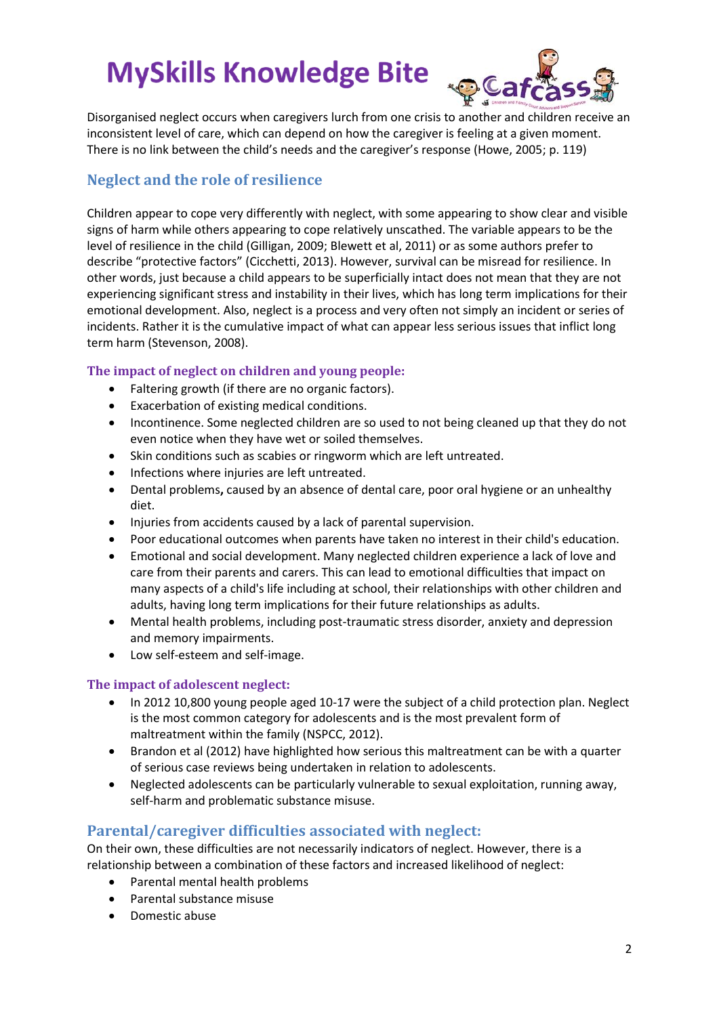

Disorganised neglect occurs when caregivers lurch from one crisis to another and children receive an inconsistent level of care, which can depend on how the caregiver is feeling at a given moment. There is no link between the child's needs and the caregiver's response (Howe, 2005; p. 119)

#### **Neglect and the role of resilience**

Children appear to cope very differently with neglect, with some appearing to show clear and visible signs of harm while others appearing to cope relatively unscathed. The variable appears to be the level of resilience in the child (Gilligan, 2009; Blewett et al, 2011) or as some authors prefer to describe "protective factors" (Cicchetti, 2013). However, survival can be misread for resilience. In other words, just because a child appears to be superficially intact does not mean that they are not experiencing significant stress and instability in their lives, which has long term implications for their emotional development. Also, neglect is a process and very often not simply an incident or series of incidents. Rather it is the cumulative impact of what can appear less serious issues that inflict long term harm (Stevenson, 2008).

#### **The impact of neglect on children and young people:**

- Faltering growth (if there are no organic factors).
- Exacerbation of existing medical conditions.
- Incontinence. Some neglected children are so used to not being cleaned up that they do not even notice when they have wet or soiled themselves.
- Skin conditions such as scabies or ringworm which are left untreated.
- Infections where injuries are left untreated.
- Dental problems**,** caused by an absence of dental care, poor oral hygiene or an unhealthy diet.
- Injuries from accidents caused by a lack of parental supervision.
- Poor educational outcomes when parents have taken no interest in their child's education.
- Emotional and social development. Many neglected children experience a lack of love and care from their parents and carers. This can lead to emotional difficulties that impact on many aspects of a child's life including at school, their relationships with other children and adults, having long term implications for their future relationships as adults.
- Mental health problems, including post-traumatic stress disorder, anxiety and depression and memory impairments.
- Low self-esteem and self-image.

#### **The impact of adolescent neglect:**

- In 2012 10,800 young people aged 10-17 were the subject of a child protection plan. Neglect is the most common category for adolescents and is the most prevalent form of maltreatment within the family (NSPCC, 2012).
- Brandon et al (2012) have highlighted how serious this maltreatment can be with a quarter of serious case reviews being undertaken in relation to adolescents.
- Neglected adolescents can be particularly vulnerable to sexual exploitation, running away, self-harm and problematic substance misuse.

#### **Parental/caregiver difficulties associated with neglect:**

On their own, these difficulties are not necessarily indicators of neglect. However, there is a relationship between a combination of these factors and increased likelihood of neglect:

- Parental mental health problems
- Parental substance misuse
- Domestic abuse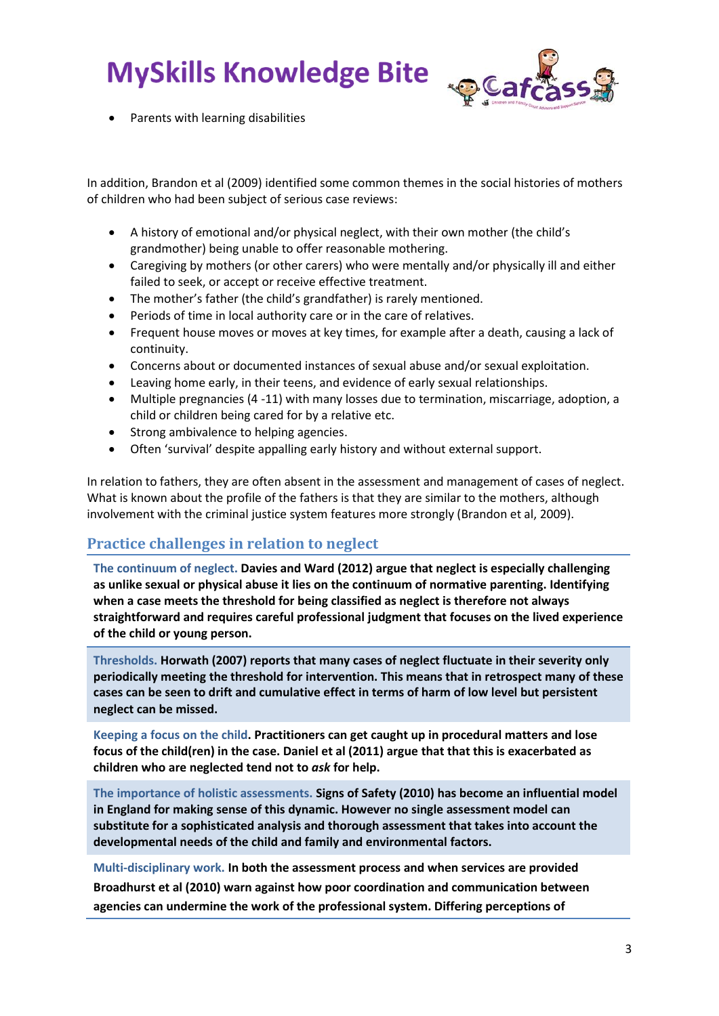

Parents with learning disabilities

In addition, Brandon et al (2009) identified some common themes in the social histories of mothers of children who had been subject of serious case reviews:

- A history of emotional and/or physical neglect, with their own mother (the child's grandmother) being unable to offer reasonable mothering.
- Caregiving by mothers (or other carers) who were mentally and/or physically ill and either failed to seek, or accept or receive effective treatment.
- The mother's father (the child's grandfather) is rarely mentioned.
- Periods of time in local authority care or in the care of relatives.
- Frequent house moves or moves at key times, for example after a death, causing a lack of continuity.
- Concerns about or documented instances of sexual abuse and/or sexual exploitation.
- Leaving home early, in their teens, and evidence of early sexual relationships.
- Multiple pregnancies (4 -11) with many losses due to termination, miscarriage, adoption, a child or children being cared for by a relative etc.
- Strong ambivalence to helping agencies.
- Often 'survival' despite appalling early history and without external support.

In relation to fathers, they are often absent in the assessment and management of cases of neglect. What is known about the profile of the fathers is that they are similar to the mothers, although involvement with the criminal justice system features more strongly (Brandon et al, 2009).

#### **Practice challenges in relation to neglect**

**The continuum of neglect. Davies and Ward (2012) argue that neglect is especially challenging as unlike sexual or physical abuse it lies on the continuum of normative parenting. Identifying when a case meets the threshold for being classified as neglect is therefore not always straightforward and requires careful professional judgment that focuses on the lived experience of the child or young person.**

**Thresholds. Horwath (2007) reports that many cases of neglect fluctuate in their severity only periodically meeting the threshold for intervention. This means that in retrospect many of these cases can be seen to drift and cumulative effect in terms of harm of low level but persistent neglect can be missed.**

**Keeping a focus on the child. Practitioners can get caught up in procedural matters and lose focus of the child(ren) in the case. Daniel et al (2011) argue that that this is exacerbated as children who are neglected tend not to** *ask* **for help.**

**The importance of holistic assessments. Signs of Safety (2010) has become an influential model in England for making sense of this dynamic. However no single assessment model can substitute for a sophisticated analysis and thorough assessment that takes into account the developmental needs of the child and family and environmental factors.** 

**Multi-disciplinary work. In both the assessment process and when services are provided Broadhurst et al (2010) warn against how poor coordination and communication between agencies can undermine the work of the professional system. Differing perceptions of**